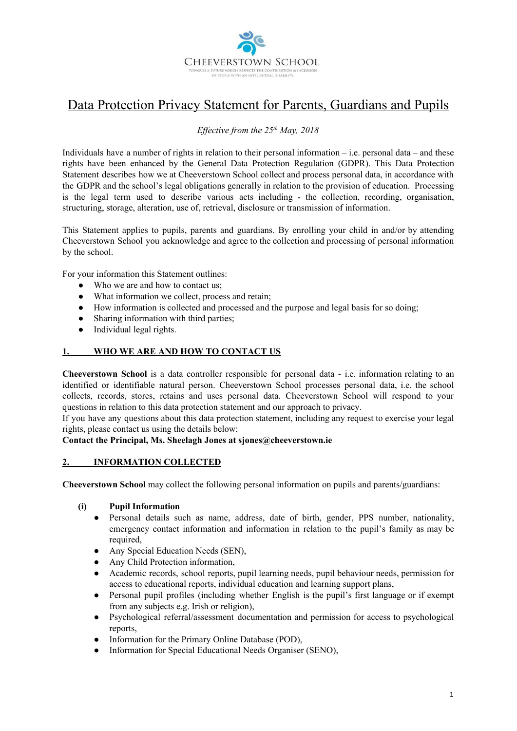

# Data Protection Privacy Statement for Parents, Guardians and Pupils

# *Effective from the 25th May, 2018*

Individuals have a number of rights in relation to their personal information – i.e. personal data – and these rights have been enhanced by the General Data Protection Regulation (GDPR). This Data Protection Statement describes how we at Cheeverstown School collect and process personal data, in accordance with the GDPR and the school's legal obligations generally in relation to the provision of education. Processing is the legal term used to describe various acts including - the collection, recording, organisation, structuring, storage, alteration, use of, retrieval, disclosure or transmission of information.

This Statement applies to pupils, parents and guardians. By enrolling your child in and/or by attending Cheeverstown School you acknowledge and agree to the collection and processing of personal information by the school.

For your information this Statement outlines:

- Who we are and how to contact us:
- What information we collect, process and retain;
- How information is collected and processed and the purpose and legal basis for so doing;
- Sharing information with third parties;
- Individual legal rights.

# **1. WHO WE ARE AND HOW TO CONTACT US**

**Cheeverstown School** is a data controller responsible for personal data - i.e. information relating to an identified or identifiable natural person. Cheeverstown School processes personal data, i.e. the school collects, records, stores, retains and uses personal data. Cheeverstown School will respond to your questions in relation to this data protection statement and our approach to privacy.

If you have any questions about this data protection statement, including any request to exercise your legal rights, please contact us using the details below:

# **Contact the Principal, Ms. Sheelagh Jones at sjones@cheeverstown.ie**

## **2. INFORMATION COLLECTED**

**Cheeverstown School** may collect the following personal information on pupils and parents/guardians:

## **(i) Pupil Information**

- Personal details such as name, address, date of birth, gender, PPS number, nationality, emergency contact information and information in relation to the pupil's family as may be required,
- Any Special Education Needs (SEN),
- Any Child Protection information,
- Academic records, school reports, pupil learning needs, pupil behaviour needs, permission for access to educational reports, individual education and learning support plans,
- Personal pupil profiles (including whether English is the pupil's first language or if exempt from any subjects e.g. Irish or religion),
- Psychological referral/assessment documentation and permission for access to psychological reports,
- Information for the Primary Online Database (POD),
- Information for Special Educational Needs Organiser (SENO),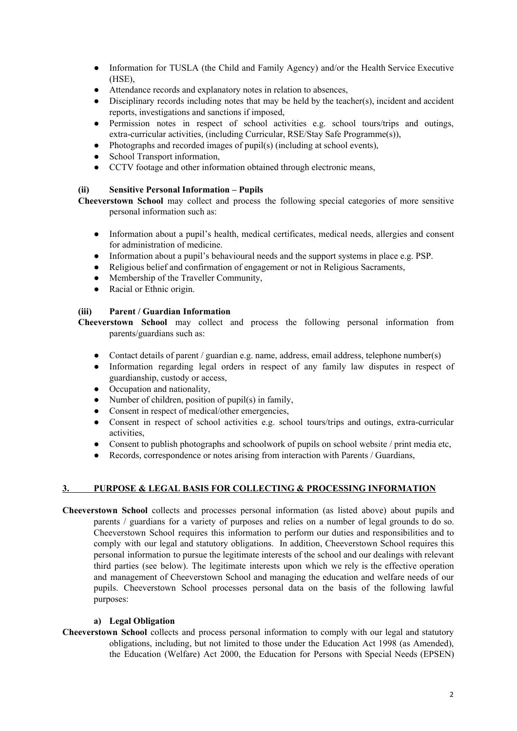- Information for TUSLA (the Child and Family Agency) and/or the Health Service Executive (HSE),
- Attendance records and explanatory notes in relation to absences,
- Disciplinary records including notes that may be held by the teacher(s), incident and accident reports, investigations and sanctions if imposed,
- Permission notes in respect of school activities e.g. school tours/trips and outings, extra-curricular activities, (including Curricular, RSE/Stay Safe Programme(s)),
- Photographs and recorded images of pupil(s) (including at school events),
- School Transport information,
- CCTV footage and other information obtained through electronic means,

# **(ii) Sensitive Personal Information – Pupils**

**Cheeverstown School** may collect and process the following special categories of more sensitive personal information such as:

- Information about a pupil's health, medical certificates, medical needs, allergies and consent for administration of medicine.
- Information about a pupil's behavioural needs and the support systems in place e.g. PSP.
- Religious belief and confirmation of engagement or not in Religious Sacraments,
- Membership of the Traveller Community,
- Racial or Ethnic origin.

# **(iii) Parent / Guardian Information**

**Cheeverstown School** may collect and process the following personal information from parents/guardians such as:

- Contact details of parent / guardian e.g. name, address, email address, telephone number(s)
- Information regarding legal orders in respect of any family law disputes in respect of guardianship, custody or access,
- Occupation and nationality,
- Number of children, position of pupil(s) in family,
- Consent in respect of medical/other emergencies,
- Consent in respect of school activities e.g. school tours/trips and outings, extra-curricular activities,
- Consent to publish photographs and schoolwork of pupils on school website / print media etc,
- Records, correspondence or notes arising from interaction with Parents / Guardians,

# **3. PURPOSE & LEGAL BASIS FOR COLLECTING & PROCESSING INFORMATION**

**Cheeverstown School** collects and processes personal information (as listed above) about pupils and parents / guardians for a variety of purposes and relies on a number of legal grounds to do so. Cheeverstown School requires this information to perform our duties and responsibilities and to comply with our legal and statutory obligations. In addition, Cheeverstown School requires this personal information to pursue the legitimate interests of the school and our dealings with relevant third parties (see below). The legitimate interests upon which we rely is the effective operation and management of Cheeverstown School and managing the education and welfare needs of our pupils. Cheeverstown School processes personal data on the basis of the following lawful purposes:

## **a) Legal Obligation**

**Cheeverstown School** collects and process personal information to comply with our legal and statutory obligations, including, but not limited to those under the Education Act 1998 (as Amended), the Education (Welfare) Act 2000, the Education for Persons with Special Needs (EPSEN)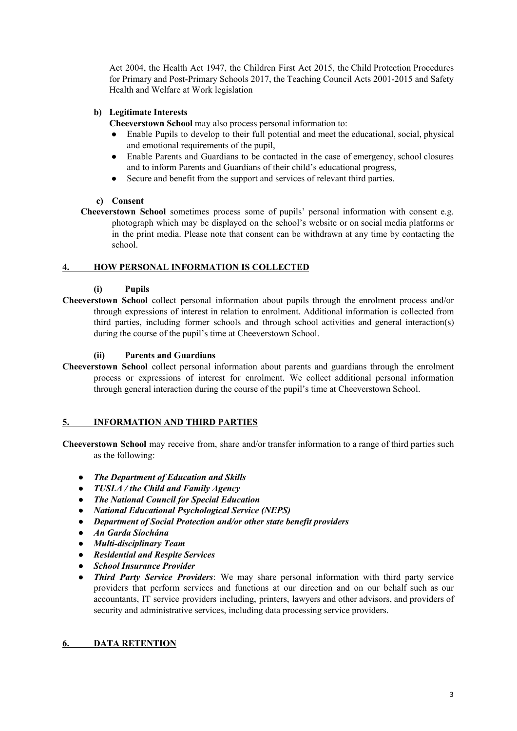Act 2004, the Health Act 1947, the Children First Act 2015, the Child Protection Procedures for Primary and Post-Primary Schools 2017, the Teaching Council Acts 2001-2015 and Safety Health and Welfare at Work legislation

# **b) Legitimate Interests**

**Cheeverstown School** may also process personal information to:

- Enable Pupils to develop to their full potential and meet the educational, social, physical and emotional requirements of the pupil,
- Enable Parents and Guardians to be contacted in the case of emergency, school closures and to inform Parents and Guardians of their child's educational progress,
- Secure and benefit from the support and services of relevant third parties.

# **c) Consent**

**Cheeverstown School** sometimes process some of pupils' personal information with consent e.g. photograph which may be displayed on the school's website or on social media platforms or in the print media. Please note that consent can be withdrawn at any time by contacting the school.

# **4. HOW PERSONAL INFORMATION IS COLLECTED**

# **(i) Pupils**

**Cheeverstown School** collect personal information about pupils through the enrolment process and/or through expressions of interest in relation to enrolment. Additional information is collected from third parties, including former schools and through school activities and general interaction(s) during the course of the pupil's time at Cheeverstown School.

## **(ii) Parents and Guardians**

**Cheeverstown School** collect personal information about parents and guardians through the enrolment process or expressions of interest for enrolment. We collect additional personal information through general interaction during the course of the pupil's time at Cheeverstown School.

## **5. INFORMATION AND THIRD PARTIES**

**Cheeverstown School** may receive from, share and/or transfer information to a range of third parties such as the following:

- *The Department of Education and Skills*
- *● TUSLA / the Child and Family Agency*
- *The National Council for Special Education*
- *National Educational Psychological Service (NEPS)*
- *Department of Social Protection and/or other state benefit providers*
- *An Garda Síochána*
- *● Multi-disciplinary Team*
- *● Residential and Respite Services*
- **●** *School Insurance Provider*
- **●** *Third Party Service Providers*: We may share personal information with third party service providers that perform services and functions at our direction and on our behalf such as our accountants, IT service providers including, printers, lawyers and other advisors, and providers of security and administrative services, including data processing service providers.

## **6. DATA RETENTION**